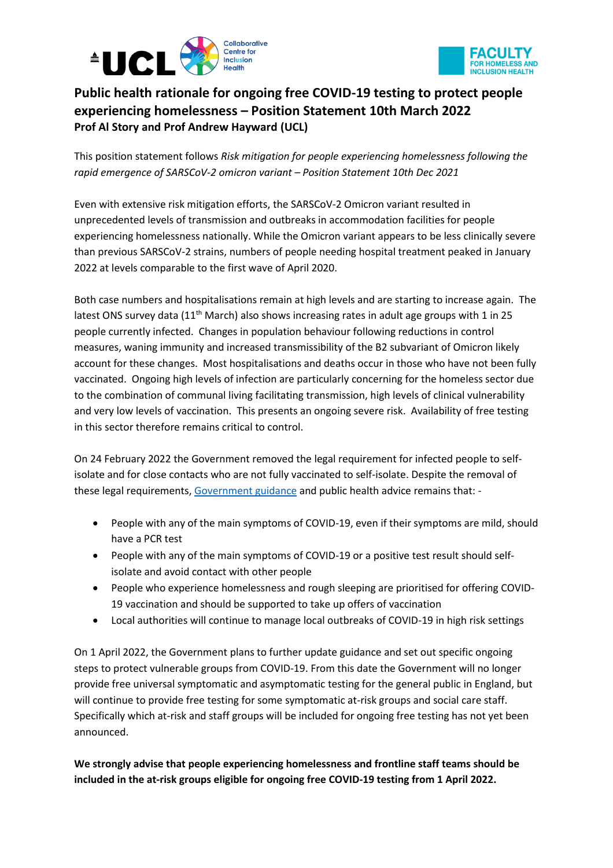



## **Public health rationale for ongoing free COVID-19 testing to protect people experiencing homelessness – Position Statement 10th March 2022 Prof Al Story and Prof Andrew Hayward (UCL)**

This position statement follows *Risk mitigation for people experiencing homelessness following the rapid emergence of SARSCoV-2 omicron variant – Position Statement 10th Dec 2021*

Even with extensive risk mitigation efforts, the SARSCoV-2 Omicron variant resulted in unprecedented levels of transmission and outbreaks in accommodation facilities for people experiencing homelessness nationally. While the Omicron variant appears to be less clinically severe than previous SARSCoV-2 strains, numbers of people needing hospital treatment peaked in January 2022 at levels comparable to the first wave of April 2020.

Both case numbers and hospitalisations remain at high levels and are starting to increase again. The latest ONS survey data ( $11<sup>th</sup>$  March) also shows increasing rates in adult age groups with 1 in 25 people currently infected. Changes in population behaviour following reductions in control measures, waning immunity and increased transmissibility of the B2 subvariant of Omicron likely account for these changes. Most hospitalisations and deaths occur in those who have not been fully vaccinated. Ongoing high levels of infection are particularly concerning for the homeless sector due to the combination of communal living facilitating transmission, high levels of clinical vulnerability and very low levels of vaccination. This presents an ongoing severe risk. Availability of free testing in this sector therefore remains critical to control.

On 24 February 2022 the Government removed the legal requirement for infected people to selfisolate and for close contacts who are not fully vaccinated to self-isolate. Despite the removal of these legal requirements, [Government guidance](https://www.gov.uk/government/publications/covid-19-guidance-on-services-for-people-experiencing-rough-sleeping/covid-19-guidance-for-commissioners-and-providers-of-hostel-services-for-people-experiencing-homelessness-and-rough-sleeping) and public health advice remains that: -

- People with any of the main symptoms of COVID-19, even if their symptoms are mild, should have a PCR test
- People with any of the main symptoms of COVID-19 or a positive test result should selfisolate and avoid contact with other people
- People who experience homelessness and rough sleeping are prioritised for offering COVID-19 vaccination and should be supported to take up offers of vaccination
- Local authorities will continue to manage local outbreaks of COVID-19 in high risk settings

On 1 April 2022, the Government plans to further update guidance and set out specific ongoing steps to protect vulnerable groups from COVID-19. From this date the Government will no longer provide free universal symptomatic and asymptomatic testing for the general public in England, but will continue to provide free testing for some symptomatic at-risk groups and social care staff. Specifically which at-risk and staff groups will be included for ongoing free testing has not yet been announced.

**We strongly advise that people experiencing homelessness and frontline staff teams should be included in the at-risk groups eligible for ongoing free COVID-19 testing from 1 April 2022.**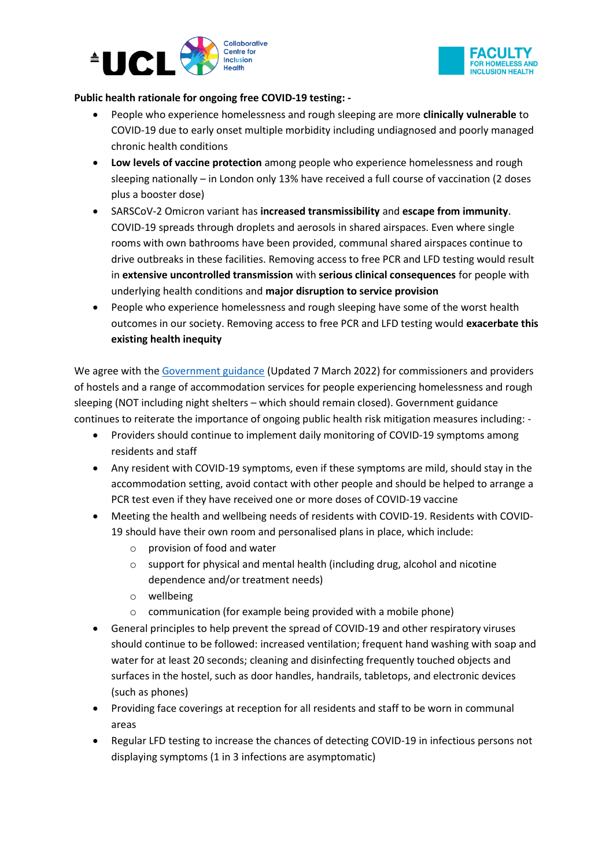



## **Public health rationale for ongoing free COVID-19 testing: -**

- People who experience homelessness and rough sleeping are more **clinically vulnerable** to COVID-19 due to early onset multiple morbidity including undiagnosed and poorly managed chronic health conditions
- **Low levels of vaccine protection** among people who experience homelessness and rough sleeping nationally – in London only 13% have received a full course of vaccination (2 doses plus a booster dose)
- SARSCoV-2 Omicron variant has **increased transmissibility** and **escape from immunity**. COVID-19 spreads through droplets and aerosols in shared airspaces. Even where single rooms with own bathrooms have been provided, communal shared airspaces continue to drive outbreaks in these facilities. Removing access to free PCR and LFD testing would result in **extensive uncontrolled transmission** with **serious clinical consequences** for people with underlying health conditions and **major disruption to service provision**
- People who experience homelessness and rough sleeping have some of the worst health outcomes in our society. Removing access to free PCR and LFD testing would **exacerbate this existing health inequity**

We agree with the [Government guidance](https://www.gov.uk/government/publications/covid-19-guidance-on-services-for-people-experiencing-rough-sleeping/covid-19-guidance-for-commissioners-and-providers-of-hostel-services-for-people-experiencing-homelessness-and-rough-sleeping) (Updated 7 March 2022) for commissioners and providers of hostels and a range of accommodation services for people experiencing homelessness and rough sleeping (NOT including night shelters – which should remain closed). Government guidance continues to reiterate the importance of ongoing public health risk mitigation measures including: -

- Providers should continue to implement daily monitoring of COVID-19 symptoms among residents and staff
- Any resident with COVID-19 symptoms, even if these symptoms are mild, should stay in the accommodation setting, avoid contact with other people and should be helped to arrange a PCR test even if they have received one or more doses of COVID-19 vaccine
- Meeting the health and wellbeing needs of residents with COVID-19. Residents with COVID-19 should have their own room and personalised plans in place, which include:
	- o provision of food and water
	- o support for physical and mental health (including drug, alcohol and nicotine dependence and/or treatment needs)
	- o wellbeing
	- o communication (for example being provided with a mobile phone)
- General principles to help prevent the spread of COVID-19 and other respiratory viruses should continue to be followed: increased ventilation; frequent hand washing with soap and water for at least 20 seconds; cleaning and disinfecting frequently touched objects and surfaces in the hostel, such as door handles, handrails, tabletops, and electronic devices (such as phones)
- Providing face coverings at reception for all residents and staff to be worn in communal areas
- Regular LFD testing to increase the chances of detecting COVID-19 in infectious persons not displaying symptoms (1 in 3 infections are asymptomatic)